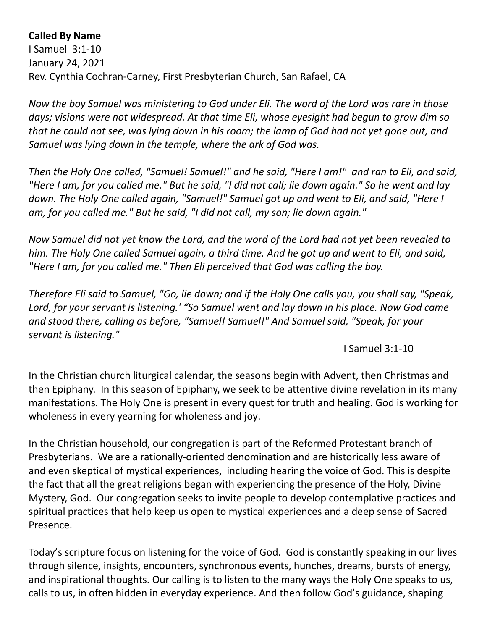## **Called By Name**

I Samuel 3:1-10 January 24, 2021 Rev. Cynthia Cochran-Carney, First Presbyterian Church, San Rafael, CA

*Now the boy Samuel was ministering to God under Eli. The word of the Lord was rare in those days; visions were not widespread. At that time Eli, whose eyesight had begun to grow dim so that he could not see, was lying down in his room; the lamp of God had not yet gone out, and Samuel was lying down in the temple, where the ark of God was.*

*Then the Holy One called, "Samuel! Samuel!" and he said, "Here I am!" and ran to Eli, and said, "Here I am, for you called me." But he said, "I did not call; lie down again." So he went and lay down. The Holy One called again, "Samuel!" Samuel got up and went to Eli, and said, "Here I am, for you called me." But he said, "I did not call, my son; lie down again."*

*Now Samuel did not yet know the Lord, and the word of the Lord had not yet been revealed to him. The Holy One called Samuel again, a third time. And he got up and went to Eli, and said, "Here I am, for you called me." Then Eli perceived that God was calling the boy.* 

*Therefore Eli said to Samuel, "Go, lie down; and if the Holy One calls you, you shall say, "Speak, Lord, for your servant is listening.' "So Samuel went and lay down in his place. Now God came and stood there, calling as before, "Samuel! Samuel!" And Samuel said, "Speak, for your servant is listening."*

I Samuel 3:1-10

In the Christian church liturgical calendar, the seasons begin with Advent, then Christmas and then Epiphany. In this season of Epiphany, we seek to be attentive divine revelation in its many manifestations. The Holy One is present in every quest for truth and healing. God is working for wholeness in every yearning for wholeness and joy.

In the Christian household, our congregation is part of the Reformed Protestant branch of Presbyterians. We are a rationally-oriented denomination and are historically less aware of and even skeptical of mystical experiences, including hearing the voice of God. This is despite the fact that all the great religions began with experiencing the presence of the Holy, Divine Mystery, God. Our congregation seeks to invite people to develop contemplative practices and spiritual practices that help keep us open to mystical experiences and a deep sense of Sacred Presence.

Today's scripture focus on listening for the voice of God. God is constantly speaking in our lives through silence, insights, encounters, synchronous events, hunches, dreams, bursts of energy, and inspirational thoughts. Our calling is to listen to the many ways the Holy One speaks to us, calls to us, in often hidden in everyday experience. And then follow God's guidance, shaping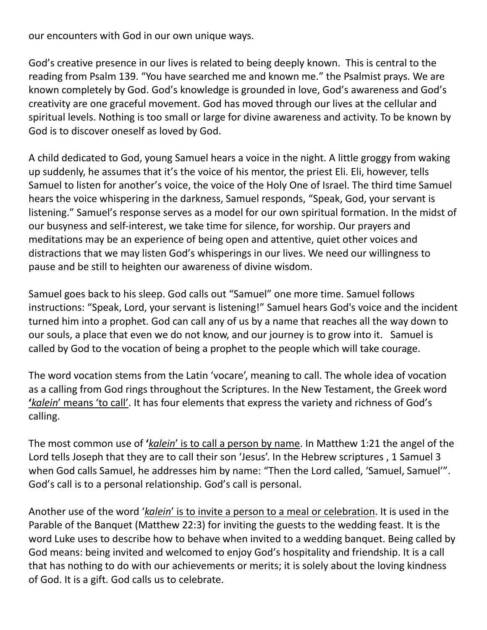our encounters with God in our own unique ways.

God's creative presence in our lives is related to being deeply known. This is central to the reading from Psalm 139. "You have searched me and known me." the Psalmist prays. We are known completely by God. God's knowledge is grounded in love, God's awareness and God's creativity are one graceful movement. God has moved through our lives at the cellular and spiritual levels. Nothing is too small or large for divine awareness and activity. To be known by God is to discover oneself as loved by God.

A child dedicated to God, young Samuel hears a voice in the night. A little groggy from waking up suddenly, he assumes that it's the voice of his mentor, the priest Eli. Eli, however, tells Samuel to listen for another's voice, the voice of the Holy One of Israel. The third time Samuel hears the voice whispering in the darkness, Samuel responds, "Speak, God, your servant is listening." Samuel's response serves as a model for our own spiritual formation. In the midst of our busyness and self-interest, we take time for silence, for worship. Our prayers and meditations may be an experience of being open and attentive, quiet other voices and distractions that we may listen God's whisperings in our lives. We need our willingness to pause and be still to heighten our awareness of divine wisdom.

Samuel goes back to his sleep. God calls out "Samuel" one more time. Samuel follows instructions: "Speak, Lord, your servant is listening!" Samuel hears God's voice and the incident turned him into a prophet. God can call any of us by a name that reaches all the way down to our souls, a place that even we do not know, and our journey is to grow into it. Samuel is called by God to the vocation of being a prophet to the people which will take courage.

The word vocation stems from the Latin 'vocare', meaning to call. The whole idea of vocation as a calling from God rings throughout the Scriptures. In the New Testament, the Greek word **'***kalein*' means 'to call'. It has four elements that express the variety and richness of God's calling.

The most common use of **'***kalein*' is to call a person by name. In Matthew 1:21 the angel of the Lord tells Joseph that they are to call their son 'Jesus'. In the Hebrew scriptures , 1 Samuel 3 when God calls Samuel, he addresses him by name: "Then the Lord called, 'Samuel, Samuel'". God's call is to a personal relationship. God's call is personal.

Another use of the word '*kalein*' is to invite a person to a meal or celebration. It is used in the Parable of the Banquet (Matthew 22:3) for inviting the guests to the wedding feast. It is the word Luke uses to describe how to behave when invited to a wedding banquet. Being called by God means: being invited and welcomed to enjoy God's hospitality and friendship. It is a call that has nothing to do with our achievements or merits; it is solely about the loving kindness of God. It is a gift. God calls us to celebrate.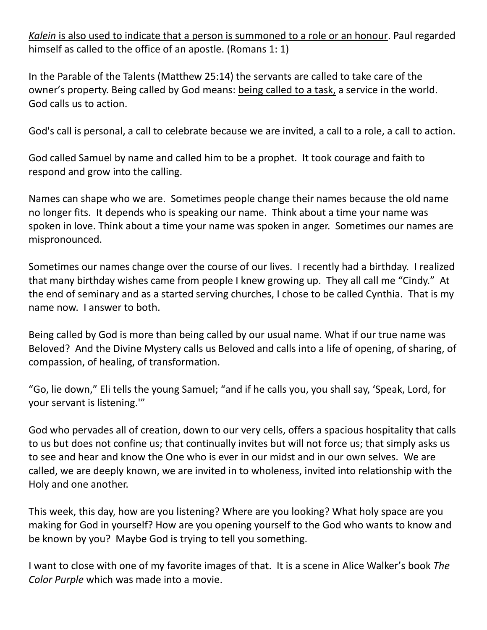*Kalein* is also used to indicate that a person is summoned to a role or an honour. Paul regarded himself as called to the office of an apostle. (Romans 1: 1)

In the Parable of the Talents (Matthew 25:14) the servants are called to take care of the owner's property. Being called by God means: being called to a task, a service in the world. God calls us to action.

God's call is personal, a call to celebrate because we are invited, a call to a role, a call to action.

God called Samuel by name and called him to be a prophet. It took courage and faith to respond and grow into the calling.

Names can shape who we are. Sometimes people change their names because the old name no longer fits. It depends who is speaking our name. Think about a time your name was spoken in love. Think about a time your name was spoken in anger. Sometimes our names are mispronounced.

Sometimes our names change over the course of our lives. I recently had a birthday. I realized that many birthday wishes came from people I knew growing up. They all call me "Cindy." At the end of seminary and as a started serving churches, I chose to be called Cynthia. That is my name now. I answer to both.

Being called by God is more than being called by our usual name. What if our true name was Beloved? And the Divine Mystery calls us Beloved and calls into a life of opening, of sharing, of compassion, of healing, of transformation.

"Go, lie down," Eli tells the young Samuel; "and if he calls you, you shall say, 'Speak, Lord, for your servant is listening.'"

God who pervades all of creation, down to our very cells, offers a spacious hospitality that calls to us but does not confine us; that continually invites but will not force us; that simply asks us to see and hear and know the One who is ever in our midst and in our own selves. We are called, we are deeply known, we are invited in to wholeness, invited into relationship with the Holy and one another.

This week, this day, how are you listening? Where are you looking? What holy space are you making for God in yourself? How are you opening yourself to the God who wants to know and be known by you? Maybe God is trying to tell you something.

I want to close with one of my favorite images of that. It is a scene in Alice Walker's book *The Color Purple* which was made into a movie.